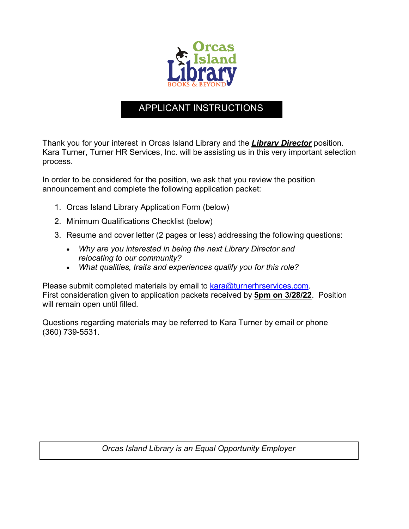

## APPLICANT INSTRUCTIONS

Thank you for your interest in Orcas Island Library and the *Library Director* position. Kara Turner, Turner HR Services, Inc. will be assisting us in this very important selection process.

In order to be considered for the position, we ask that you review the position announcement and complete the following application packet:

- 1. Orcas Island Library Application Form (below)
- 2. Minimum Qualifications Checklist (below)
- 3. Resume and cover letter (2 pages or less) addressing the following questions:
	- *Why are you interested in being the next Library Director and relocating to our community?*
	- *What qualities, traits and experiences qualify you for this role?*

Please submit completed materials by email to kara@turnerhrservices.com. First consideration given to application packets received by **5pm on 3/28/22**. Position will remain open until filled.

Questions regarding materials may be referred to Kara Turner by email or phone (360) 739-5531.

*Orcas Island Library is an Equal Opportunity Employer*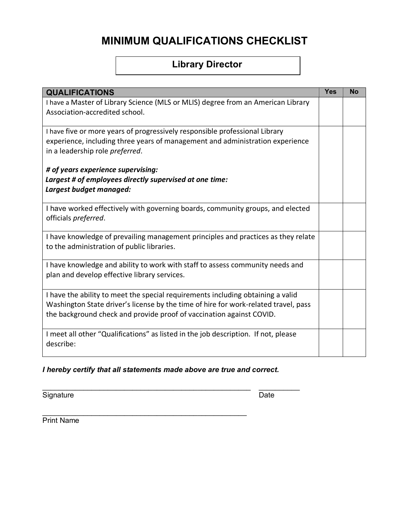# **MINIMUM QUALIFICATIONS CHECKLIST**

## **Library Director**

| <b>QUALIFICATIONS</b>                                                                                                                                                                                                                          | <b>Yes</b> | <b>No</b> |
|------------------------------------------------------------------------------------------------------------------------------------------------------------------------------------------------------------------------------------------------|------------|-----------|
| I have a Master of Library Science (MLS or MLIS) degree from an American Library<br>Association-accredited school.                                                                                                                             |            |           |
| I have five or more years of progressively responsible professional Library<br>experience, including three years of management and administration experience<br>in a leadership role preferred.                                                |            |           |
| # of years experience supervising:<br>Largest # of employees directly supervised at one time:<br>Largest budget managed:                                                                                                                       |            |           |
| I have worked effectively with governing boards, community groups, and elected<br>officials preferred.                                                                                                                                         |            |           |
| I have knowledge of prevailing management principles and practices as they relate<br>to the administration of public libraries.                                                                                                                |            |           |
| I have knowledge and ability to work with staff to assess community needs and<br>plan and develop effective library services.                                                                                                                  |            |           |
| I have the ability to meet the special requirements including obtaining a valid<br>Washington State driver's license by the time of hire for work-related travel, pass<br>the background check and provide proof of vaccination against COVID. |            |           |
| I meet all other "Qualifications" as listed in the job description. If not, please<br>describe:                                                                                                                                                |            |           |

*I hereby certify that all statements made above are true and correct.*

\_\_\_\_\_\_\_\_\_\_\_\_\_\_\_\_\_\_\_\_\_\_\_\_\_\_\_\_\_\_\_\_\_\_\_\_\_\_\_\_\_\_\_\_\_\_\_\_\_\_\_ \_\_\_\_\_\_\_\_\_\_

Signature Date

Print Name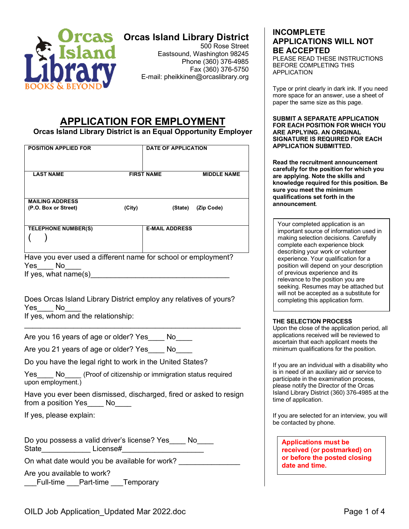

## **Orcas Island Library District**

500 Rose Street Eastsound, Washington 98245 Phone (360) 376-4985 Fax (360) 376-5750 E-mail: pheikkinen@orcaslibrary.org

## **APPLICATION FOR EMPLOYMENT**

**Orcas Island Library District is an Equal Opportunity Employer**

| <b>POSITION APPLIED FOR</b>                                                                           |        | <b>DATE OF APPLICATION</b> |                    |
|-------------------------------------------------------------------------------------------------------|--------|----------------------------|--------------------|
| <b>LAST NAME</b>                                                                                      |        | <b>FIRST NAME</b>          | <b>MIDDLE NAME</b> |
| <b>MAILING ADDRESS</b><br>(P.O. Box or Street)                                                        | (City) | (State)                    | (Zip Code)         |
| TELEPHONE NUMBER(S)                                                                                   |        | <b>E-MAIL ADDRESS</b>      |                    |
| Have you ever used a different name for school or employment?<br>Yes<br>No.<br>If yes, what $name(s)$ |        |                            |                    |

Does Orcas Island Library District employ any relatives of yours? Yes\_\_\_\_ No

 $\mathcal{L}_\text{max} = \mathcal{L}_\text{max} = \mathcal{L}_\text{max} = \mathcal{L}_\text{max} = \mathcal{L}_\text{max} = \mathcal{L}_\text{max} = \mathcal{L}_\text{max} = \mathcal{L}_\text{max} = \mathcal{L}_\text{max} = \mathcal{L}_\text{max} = \mathcal{L}_\text{max} = \mathcal{L}_\text{max} = \mathcal{L}_\text{max} = \mathcal{L}_\text{max} = \mathcal{L}_\text{max} = \mathcal{L}_\text{max} = \mathcal{L}_\text{max} = \mathcal{L}_\text{max} = \mathcal{$ 

If yes, whom and the relationship:

Are you 16 years of age or older? Yes \_\_\_\_ No

Are you 21 years of age or older? Yes No

Do you have the legal right to work in the United States?

Yes No (Proof of citizenship or immigration status required upon employment.)

Have you ever been dismissed, discharged, fired or asked to resign from a position Yes No

If yes, please explain:

Do you possess a valid driver's license? Yes\_\_\_\_ No\_\_\_\_ State License#

On what date would you be available for work?

Are you available to work? \_\_\_Full-time \_\_\_Part-time \_\_\_Temporary

## **INCOMPLETE APPLICATIONS WILL NOT BE ACCEPTED**

PLEASE READ THESE INSTRUCTIONS BEFORE COMPLETING THIS APPLICATION

Type or print clearly in dark ink. If you need more space for an answer, use a sheet of paper the same size as this page.

**SUBMIT A SEPARATE APPLICATION FOR EACH POSITION FOR WHICH YOU ARE APPLYING. AN ORIGINAL SIGNATURE IS REQUIRED FOR EACH APPLICATION SUBMITTED.**

**Read the recruitment announcement carefully for the position for which you are applying. Note the skills and knowledge required for this position. Be sure you meet the minimum qualifications set forth in the announcement**.

Your completed application is an important source of information used in making selection decisions. Carefully complete each experience block describing your work or volunteer experience. Your qualification for a position will depend on your description of previous experience and its relevance to the position you are seeking. Resumes may be attached but will not be accepted as a substitute for completing this application form.

### **THE SELECTION PROCESS**

Upon the close of the application period, all applications received will be reviewed to ascertain that each applicant meets the minimum qualifications for the position.

If you are an individual with a disability who is in need of an auxiliary aid or service to participate in the examination process, please notify the Director of the Orcas Island Library District (360) 376-4985 at the time of application.

If you are selected for an interview, you will be contacted by phone.

**Applications must be received (or postmarked) on or before the posted closing date and time.**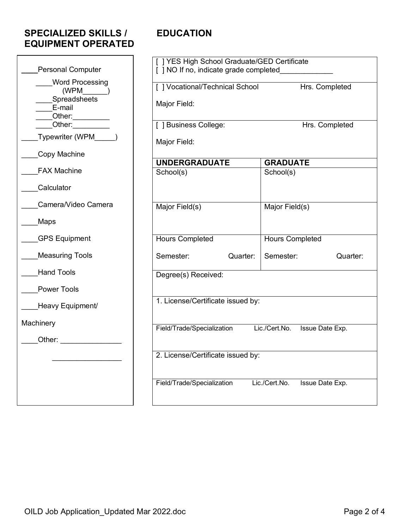## **SPECIALIZED SKILLS / EDUCATION EQUIPMENT OPERATED**

|                                        | [ ] YES High School Graduate/GED Certificate      |                                  |  |
|----------------------------------------|---------------------------------------------------|----------------------------------|--|
| <b>Personal Computer</b>               | [ ] NO If no, indicate grade completed            |                                  |  |
| <b>Word Processing</b>                 | [ ] Vocational/Technical School<br>Hrs. Completed |                                  |  |
| (WPM                                   |                                                   |                                  |  |
| Spreadsheets<br>E-mail                 | Major Field:                                      |                                  |  |
|                                        |                                                   |                                  |  |
| _Other:__________<br>_Other:__________ | [ ] Business College:                             | Hrs. Completed                   |  |
| Typewriter (WPM                        | Major Field:                                      |                                  |  |
| Copy Machine                           |                                                   |                                  |  |
|                                        | <b>UNDERGRADUATE</b>                              | <b>GRADUATE</b>                  |  |
| <b>FAX Machine</b>                     | School(s)                                         | School(s)                        |  |
| Calculator                             |                                                   |                                  |  |
| Camera/Video Camera                    | Major Field(s)                                    | Major Field(s)                   |  |
| Maps                                   |                                                   |                                  |  |
| <b>GPS Equipment</b>                   | <b>Hours Completed</b>                            | <b>Hours Completed</b>           |  |
| <b>Measuring Tools</b>                 | Semester:<br>Quarter:                             | Semester:<br>Quarter:            |  |
| <b>Hand Tools</b>                      | Degree(s) Received:                               |                                  |  |
| <b>Power Tools</b>                     |                                                   |                                  |  |
| Heavy Equipment/                       | 1. License/Certificate issued by:                 |                                  |  |
| Machinery                              |                                                   |                                  |  |
| Other:                                 | Field/Trade/Specialization                        | Lic./Cert.No.<br>Issue Date Exp. |  |
|                                        |                                                   |                                  |  |
|                                        | 2. License/Certificate issued by:                 |                                  |  |
|                                        | Field/Trade/Specialization                        | Lic./Cert.No.<br>Issue Date Exp. |  |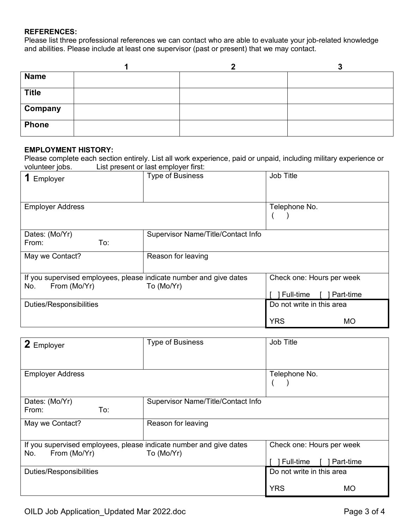#### **REFERENCES:**

Please list three professional references we can contact who are able to evaluate your job-related knowledge and abilities. Please include at least one supervisor (past or present) that we may contact.

| <b>Name</b>  |  |  |
|--------------|--|--|
| <b>Title</b> |  |  |
| Company      |  |  |
| <b>Phone</b> |  |  |

#### **EMPLOYMENT HISTORY:**

Please complete each section entirely. List all work experience, paid or unpaid, including military experience or volunteer jobs. List present or last employer first:

| Employer                                                                                  | <b>Type of Business</b>            | Job Title                 |
|-------------------------------------------------------------------------------------------|------------------------------------|---------------------------|
|                                                                                           |                                    |                           |
| <b>Employer Address</b>                                                                   |                                    | Telephone No.             |
|                                                                                           |                                    |                           |
| Dates: (Mo/Yr)                                                                            | Supervisor Name/Title/Contact Info |                           |
| To:<br>From:                                                                              |                                    |                           |
| May we Contact?                                                                           | Reason for leaving                 |                           |
|                                                                                           |                                    |                           |
| If you supervised employees, please indicate number and give dates<br>From (Mo/Yr)<br>No. | To (Mo/Yr)                         | Check one: Hours per week |
|                                                                                           |                                    | Full-time<br>Part-time    |
| <b>Duties/Responsibilities</b>                                                            |                                    | Do not write in this area |
|                                                                                           |                                    | <b>YRS</b><br>МO          |

| 2 Employer                                                         | <b>Type of Business</b>            | Job Title                  |
|--------------------------------------------------------------------|------------------------------------|----------------------------|
| <b>Employer Address</b>                                            |                                    | Telephone No.              |
| Dates: (Mo/Yr)                                                     | Supervisor Name/Title/Contact Info |                            |
| To:<br>From:                                                       |                                    |                            |
| May we Contact?                                                    | Reason for leaving                 |                            |
| If you supervised employees, please indicate number and give dates |                                    | Check one: Hours per week  |
| From (Mo/Yr)<br>No.                                                | To (Mo/Yr)                         | Full-time [<br>] Part-time |
| <b>Duties/Responsibilities</b>                                     |                                    | Do not write in this area  |
|                                                                    |                                    | <b>YRS</b><br>MO           |